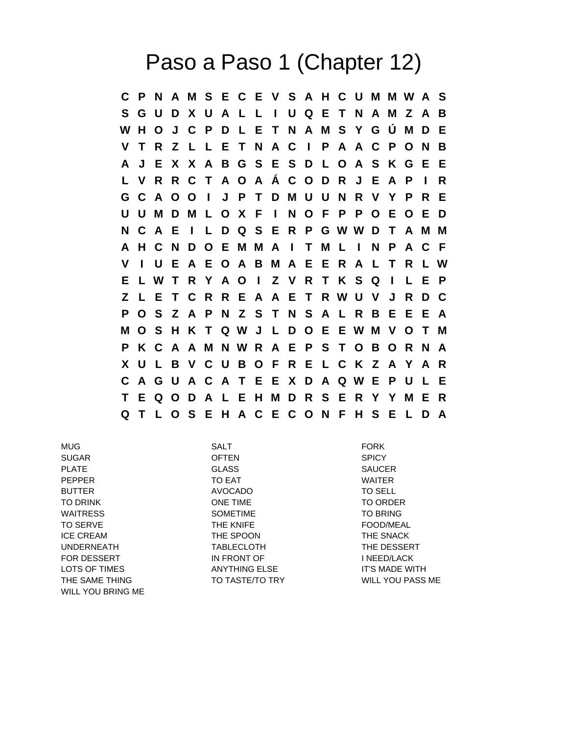## Paso a Paso 1 (Chapter 12)

**C P N A M S E C E V S A H C U M M W A S S G U D X U A L L I U Q E T N A M Z A B W H O J C P D L E T N A M S Y G Ú M D E V T R Z L L E T N A C I P A A C P O N B A J E X X A B G S E S D L O A S K G E E L V R R C T A O A Á C O D R J E A P I R G C A O O I J P T D M U U N R V Y P R E U U M D M L O X F I N O F P P O E O E D N C A E I L D Q S E R P G W W D T A M M A H C N D O E M M A I T M L I N P A C F V I U E A E O A B M A E E R A L T R L W E L W T R Y A O I Z V R T K S Q I L E P Z L E T C R R E A A E T R W U V J R D C P O S Z A P N Z S T N S A L R B E E E A M O S H K T Q W J L D O E E W M V O T M P K C A A M N W R A E P S T O B O R N A X U L B V C U B O F R E L C K Z A Y A R C A G U A C A T E E X D A Q W E P U L E T E Q O D A L E H M D R S E R Y Y M E R Q T L O S E H A C E C O N F H S E L D A**

MUG SALT FORK SUGAR OFTEN SPICY PLATE GLASS SAUCER SAUCER PEPPER TO EAT TO EAT WAITER BUTTER AVOCADO TO SELL TO DRINK ONE TIME TO ORDER WAITRESS SOMETIME SOMETIME TO BRING TO SERVE THE KNIFE THE KNIFE TO SERVE ICE CREAM THE SPOON THE SNACK UNDERNEATH TABLECLOTH THE DESSERT FOR DESSERT THE IN FRONT OF THE INFED/LACK LOTS OF TIMES ANYTHING ELSE IT'S MADE WITH THE SAME THING TO TASTE/TO TRY TO TASTE ASS ME WILL YOU BRING ME